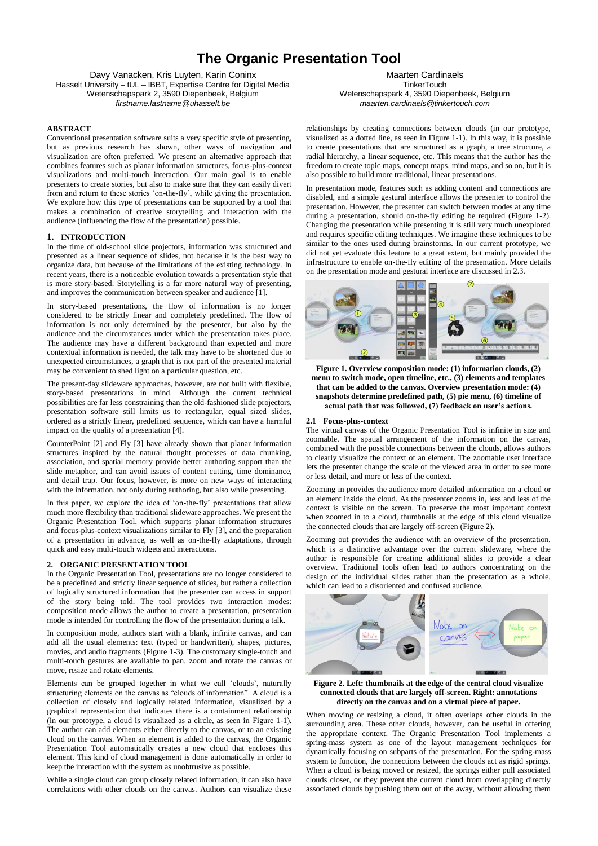# **The Organic Presentation Tool**

Davy Vanacken, Kris Luyten, Karin Coninx Hasselt University – tUL – IBBT, Expertise Centre for Digital Media Wetenschapspark 2, 3590 Diepenbeek, Belgium *firstname.lastname@uhasselt.be*

# **ABSTRACT**

Conventional presentation software suits a very specific style of presenting, but as previous research has shown, other ways of navigation and visualization are often preferred. We present an alternative approach that combines features such as planar information structures, focus-plus-context visualizations and multi-touch interaction. Our main goal is to enable presenters to create stories, but also to make sure that they can easily divert from and return to these stories "on-the-fly", while giving the presentation. We explore how this type of presentations can be supported by a tool that makes a combination of creative storytelling and interaction with the audience (influencing the flow of the presentation) possible.

# **1. INTRODUCTION**

In the time of old-school slide projectors, information was structured and presented as a linear sequence of slides, not because it is the best way to organize data, but because of the limitations of the existing technology. In recent years, there is a noticeable evolution towards a presentation style that is more story-based. Storytelling is a far more natural way of presenting, and improves the communication between speaker and audience [\[1\].](#page-1-0)

In story-based presentations, the flow of information is no longer considered to be strictly linear and completely predefined. The flow of information is not only determined by the presenter, but also by the audience and the circumstances under which the presentation takes place. The audience may have a different background than expected and more contextual information is needed, the talk may have to be shortened due to unexpected circumstances, a graph that is not part of the presented material may be convenient to shed light on a particular question, etc.

The present-day slideware approaches, however, are not built with flexible, story-based presentations in mind. Although the current technical possibilities are far less constraining than the old-fashioned slide projectors, presentation software still limits us to rectangular, equal sized slides, ordered as a strictly linear, predefined sequence, which can have a harmful impact on the quality of a presentation [\[4\].](#page-1-1)

CounterPoint [\[2\]](#page-1-2) and Fly [\[3\]](#page-1-3) have already shown that planar information structures inspired by the natural thought processes of data chunking, association, and spatial memory provide better authoring support than the slide metaphor, and can avoid issues of content cutting, time dominance, and detail trap. Our focus, however, is more on new ways of interacting with the information, not only during authoring, but also while presenting.

In this paper, we explore the idea of "on-the-fly" presentations that allow much more flexibility than traditional slideware approaches. We present the Organic Presentation Tool, which supports planar information structures and focus-plus-context visualizations similar to Fly [\[3\],](#page-1-3) and the preparation of a presentation in advance, as well as on-the-fly adaptations, through quick and easy multi-touch widgets and interactions.

## **2. ORGANIC PRESENTATION TOOL**

In the Organic Presentation Tool, presentations are no longer considered to be a predefined and strictly linear sequence of slides, but rather a collection of logically structured information that the presenter can access in support of the story being told. The tool provides two interaction modes: composition mode allows the author to create a presentation, presentation mode is intended for controlling the flow of the presentation during a talk.

In composition mode, authors start with a blank, infinite canvas, and can add all the usual elements: text (typed or handwritten), shapes, pictures, movies, and audio fragments [\(Figure 1-](#page-0-0)3). The customary single-touch and multi-touch gestures are available to pan, zoom and rotate the canvas or move, resize and rotate elements.

Elements can be grouped together in what we call 'clouds', naturally structuring elements on the canvas as "clouds of information". A cloud is a collection of closely and logically related information, visualized by a graphical representation that indicates there is a containment relationship (in our prototype, a cloud is visualized as a circle, as seen in [Figure 1-](#page-0-0)1). The author can add elements either directly to the canvas, or to an existing cloud on the canvas. When an element is added to the canvas, the Organic Presentation Tool automatically creates a new cloud that encloses this element. This kind of cloud management is done automatically in order to keep the interaction with the system as unobtrusive as possible.

While a single cloud can group closely related information, it can also have correlations with other clouds on the canvas. Authors can visualize these

Maarten Cardinaels **TinkerTouch** Wetenschapspark 4, 3590 Diepenbeek, Belgium *maarten.cardinaels@tinkertouch.com*

relationships by creating connections between clouds (in our prototype, visualized as a dotted line, as seen i[n Figure 1-](#page-0-0)1). In this way, it is possible to create presentations that are structured as a graph, a tree structure, a radial hierarchy, a linear sequence, etc. This means that the author has the freedom to create topic maps, concept maps, mind maps, and so on, but it is also possible to build more traditional, linear presentations.

In presentation mode, features such as adding content and connections are disabled, and a simple gestural interface allows the presenter to control the presentation. However, the presenter can switch between modes at any time during a presentation, should on-the-fly editing be required [\(Figure 1-](#page-0-0)2). Changing the presentation while presenting it is still very much unexplored and requires specific editing techniques. We imagine these techniques to be similar to the ones used during brainstorms. In our current prototype, we did not yet evaluate this feature to a great extent, but mainly provided the infrastructure to enable on-the-fly editing of the presentation. More details on the presentation mode and gestural interface are discussed in [2.3.](#page-1-4)



**Figure 1. Overview composition mode: (1) information clouds, (2) menu to switch mode, open timeline, etc., (3) elements and templates that can be added to the canvas. Overview presentation mode: (4) snapshots determine predefined path, (5) pie menu, (6) timeline of actual path that was followed, (7) feedback on user's actions.**

#### <span id="page-0-2"></span><span id="page-0-0"></span>**2.1 Focus-plus-context**

The virtual canvas of the Organic Presentation Tool is infinite in size and zoomable. The spatial arrangement of the information on the canvas, combined with the possible connections between the clouds, allows authors to clearly visualize the context of an element. The zoomable user interface lets the presenter change the scale of the viewed area in order to see more or less detail, and more or less of the context.

Zooming in provides the audience more detailed information on a cloud or an element inside the cloud. As the presenter zooms in, less and less of the context is visible on the screen. To preserve the most important context when zoomed in to a cloud, thumbnails at the edge of this cloud visualize the connected clouds that are largely off-screen [\(Figure 2\)](#page-0-1).

Zooming out provides the audience with an overview of the presentation, which is a distinctive advantage over the current slideware, where the author is responsible for creating additional slides to provide a clear overview. Traditional tools often lead to authors concentrating on the design of the individual slides rather than the presentation as a whole, which can lead to a disoriented and confused audience.



**Figure 2. Left: thumbnails at the edge of the central cloud visualize connected clouds that are largely off-screen. Right: annotations directly on the canvas and on a virtual piece of paper.**

<span id="page-0-1"></span>When moving or resizing a cloud, it often overlaps other clouds in the surrounding area. These other clouds, however, can be useful in offering the appropriate context. The Organic Presentation Tool implements a spring-mass system as one of the layout management techniques for dynamically focusing on subparts of the presentation. For the spring-mass system to function, the connections between the clouds act as rigid springs. When a cloud is being moved or resized, the springs either pull associated clouds closer, or they prevent the current cloud from overlapping directly associated clouds by pushing them out of the away, without allowing them